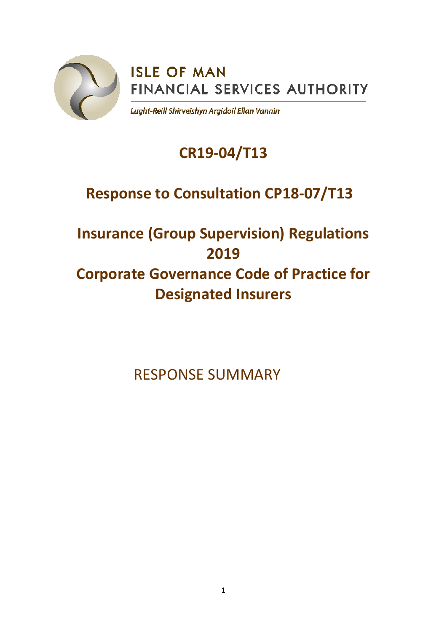

**ISLE OF MAN** FINANCIAL SERVICES AUTHORITY

Lught-Reill Shirveishyn Argidoil Ellan Vannin

# **CR19-04/T13**

# **Response to Consultation CP18-07/T13**

# **Insurance (Group Supervision) Regulations 2019 Corporate Governance Code of Practice for Designated Insurers**

RESPONSE SUMMARY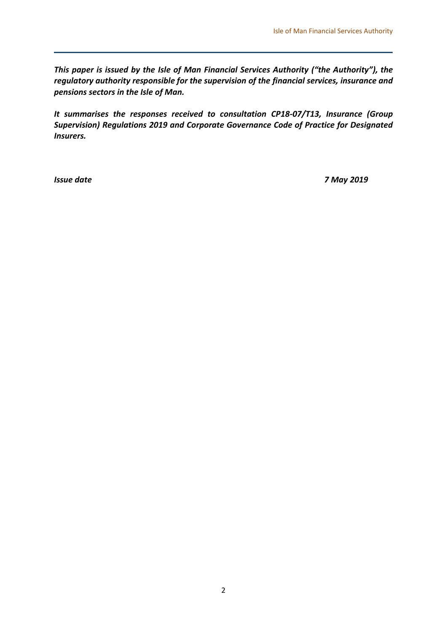*This paper is issued by the Isle of Man Financial Services Authority ("the Authority"), the regulatory authority responsible for the supervision of the financial services, insurance and pensions sectors in the Isle of Man.* 

*It summarises the responses received to consultation CP18-07/T13, Insurance (Group Supervision) Regulations 2019 and Corporate Governance Code of Practice for Designated Insurers.* 

*Issue date 7 May 2019*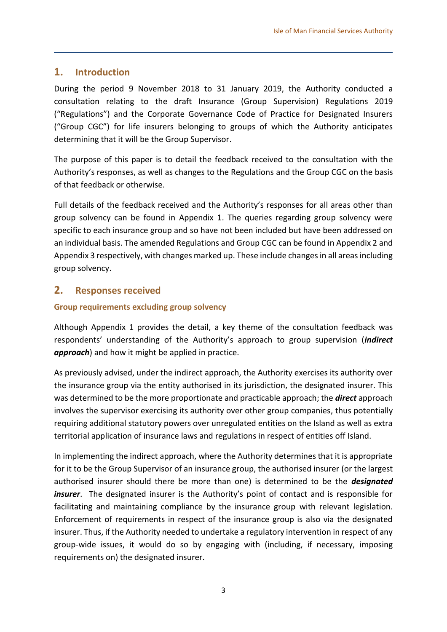### **1. Introduction**

During the period 9 November 2018 to 31 January 2019, the Authority conducted a consultation relating to the draft Insurance (Group Supervision) Regulations 2019 ("Regulations") and the Corporate Governance Code of Practice for Designated Insurers ("Group CGC") for life insurers belonging to groups of which the Authority anticipates determining that it will be the Group Supervisor.

The purpose of this paper is to detail the feedback received to the consultation with the Authority's responses, as well as changes to the Regulations and the Group CGC on the basis of that feedback or otherwise.

Full details of the feedback received and the Authority's responses for all areas other than group solvency can be found in Appendix 1. The queries regarding group solvency were specific to each insurance group and so have not been included but have been addressed on an individual basis. The amended Regulations and Group CGC can be found in Appendix 2 and Appendix 3 respectively, with changes marked up. These include changes in all areas including group solvency.

## **2. Responses received**

#### **Group requirements excluding group solvency**

Although Appendix 1 provides the detail, a key theme of the consultation feedback was respondents' understanding of the Authority's approach to group supervision (*indirect approach*) and how it might be applied in practice.

As previously advised, under the indirect approach, the Authority exercises its authority over the insurance group via the entity authorised in its jurisdiction, the designated insurer. This was determined to be the more proportionate and practicable approach; the *direct* approach involves the supervisor exercising its authority over other group companies, thus potentially requiring additional statutory powers over unregulated entities on the Island as well as extra territorial application of insurance laws and regulations in respect of entities off Island.

In implementing the indirect approach, where the Authority determines that it is appropriate for it to be the Group Supervisor of an insurance group, the authorised insurer (or the largest authorised insurer should there be more than one) is determined to be the *designated insurer*. The designated insurer is the Authority's point of contact and is responsible for facilitating and maintaining compliance by the insurance group with relevant legislation. Enforcement of requirements in respect of the insurance group is also via the designated insurer. Thus, if the Authority needed to undertake a regulatory intervention in respect of any group-wide issues, it would do so by engaging with (including, if necessary, imposing requirements on) the designated insurer.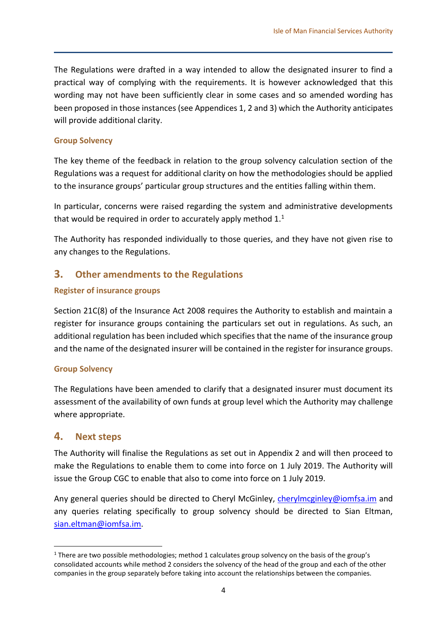The Regulations were drafted in a way intended to allow the designated insurer to find a practical way of complying with the requirements. It is however acknowledged that this wording may not have been sufficiently clear in some cases and so amended wording has been proposed in those instances (see Appendices 1, 2 and 3) which the Authority anticipates will provide additional clarity.

#### **Group Solvency**

The key theme of the feedback in relation to the group solvency calculation section of the Regulations was a request for additional clarity on how the methodologies should be applied to the insurance groups' particular group structures and the entities falling within them.

In particular, concerns were raised regarding the system and administrative developments that would be required in order to accurately apply method  $1<sup>1</sup>$ 

The Authority has responded individually to those queries, and they have not given rise to any changes to the Regulations.

### **3. Other amendments to the Regulations**

#### **Register of insurance groups**

Section 21C(8) of the Insurance Act 2008 requires the Authority to establish and maintain a register for insurance groups containing the particulars set out in regulations. As such, an additional regulation has been included which specifies that the name of the insurance group and the name of the designated insurer will be contained in the register for insurance groups.

#### **Group Solvency**

The Regulations have been amended to clarify that a designated insurer must document its assessment of the availability of own funds at group level which the Authority may challenge where appropriate.

#### **4. Next steps**

**.** 

The Authority will finalise the Regulations as set out in Appendix 2 and will then proceed to make the Regulations to enable them to come into force on 1 July 2019. The Authority will issue the Group CGC to enable that also to come into force on 1 July 2019.

Any general queries should be directed to Cheryl McGinley, [cherylmcginley@iomfsa.im](mailto:cherylmcginley@iomfsa.im) and any queries relating specifically to group solvency should be directed to Sian Eltman, [sian.eltman@iomfsa.im.](mailto:sian.eltman@iomfsa.im)

 $1$  There are two possible methodologies; method 1 calculates group solvency on the basis of the group's consolidated accounts while method 2 considers the solvency of the head of the group and each of the other companies in the group separately before taking into account the relationships between the companies.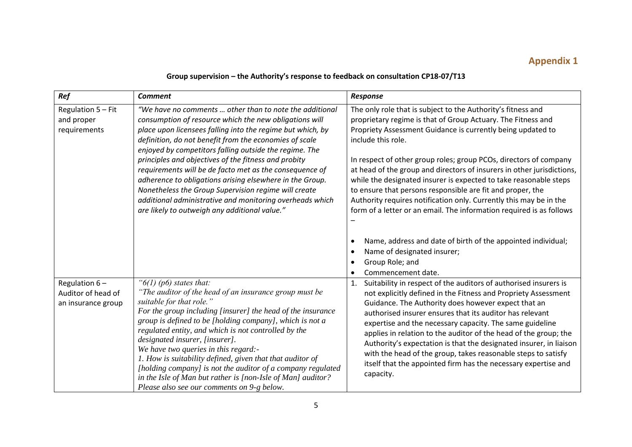# **Appendix 1**

### **Group supervision – the Authority's response to feedback on consultation CP18-07/T13**

| <b>Ref</b>                                                   | <b>Comment</b>                                                                                                                                                                                                                                                                                                                                                                                                                                                                                                                                                                                                                                          | Response                                                                                                                                                                                                                                                                                                                                                                                                                                                                                                                                                                                                                                                                                                                                                            |
|--------------------------------------------------------------|---------------------------------------------------------------------------------------------------------------------------------------------------------------------------------------------------------------------------------------------------------------------------------------------------------------------------------------------------------------------------------------------------------------------------------------------------------------------------------------------------------------------------------------------------------------------------------------------------------------------------------------------------------|---------------------------------------------------------------------------------------------------------------------------------------------------------------------------------------------------------------------------------------------------------------------------------------------------------------------------------------------------------------------------------------------------------------------------------------------------------------------------------------------------------------------------------------------------------------------------------------------------------------------------------------------------------------------------------------------------------------------------------------------------------------------|
| Regulation 5 - Fit<br>and proper<br>requirements             | "We have no comments  other than to note the additional<br>consumption of resource which the new obligations will<br>place upon licensees falling into the regime but which, by<br>definition, do not benefit from the economies of scale<br>enjoyed by competitors falling outside the regime. The<br>principles and objectives of the fitness and probity<br>requirements will be de facto met as the consequence of<br>adherence to obligations arising elsewhere in the Group.<br>Nonetheless the Group Supervision regime will create<br>additional administrative and monitoring overheads which<br>are likely to outweigh any additional value." | The only role that is subject to the Authority's fitness and<br>proprietary regime is that of Group Actuary. The Fitness and<br>Propriety Assessment Guidance is currently being updated to<br>include this role.<br>In respect of other group roles; group PCOs, directors of company<br>at head of the group and directors of insurers in other jurisdictions,<br>while the designated insurer is expected to take reasonable steps<br>to ensure that persons responsible are fit and proper, the<br>Authority requires notification only. Currently this may be in the<br>form of a letter or an email. The information required is as follows<br>Name, address and date of birth of the appointed individual;<br>Name of designated insurer;<br>Group Role; and |
| Regulation $6 -$<br>Auditor of head of<br>an insurance group | " $6(1)$ (p6) states that:<br>"The auditor of the head of an insurance group must be<br>suitable for that role."<br>For the group including [insurer] the head of the insurance<br>group is defined to be [holding company], which is not a<br>regulated entity, and which is not controlled by the<br>designated insurer, [insurer].<br>We have two queries in this regard:-<br>1. How is suitability defined, given that that auditor of<br>[holding company] is not the auditor of a company regulated<br>in the Isle of Man but rather is [non-Isle of Man] auditor?<br>Please also see our comments on 9-g below.                                  | Commencement date.<br>$\bullet$<br>Suitability in respect of the auditors of authorised insurers is<br>1.<br>not explicitly defined in the Fitness and Propriety Assessment<br>Guidance. The Authority does however expect that an<br>authorised insurer ensures that its auditor has relevant<br>expertise and the necessary capacity. The same guideline<br>applies in relation to the auditor of the head of the group; the<br>Authority's expectation is that the designated insurer, in liaison<br>with the head of the group, takes reasonable steps to satisfy<br>itself that the appointed firm has the necessary expertise and<br>capacity.                                                                                                                |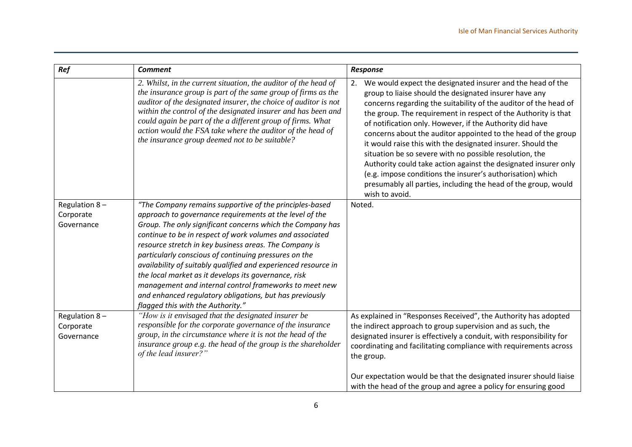| <b>Ref</b>                               | <b>Comment</b>                                                                                                                                                                                                                                                                                                                                                                                                                                                                                                                                                                                                                                      | Response                                                                                                                                                                                                                                                                                                                                                                                                                                                                                                                                                                                                                                                                                                                                  |
|------------------------------------------|-----------------------------------------------------------------------------------------------------------------------------------------------------------------------------------------------------------------------------------------------------------------------------------------------------------------------------------------------------------------------------------------------------------------------------------------------------------------------------------------------------------------------------------------------------------------------------------------------------------------------------------------------------|-------------------------------------------------------------------------------------------------------------------------------------------------------------------------------------------------------------------------------------------------------------------------------------------------------------------------------------------------------------------------------------------------------------------------------------------------------------------------------------------------------------------------------------------------------------------------------------------------------------------------------------------------------------------------------------------------------------------------------------------|
|                                          | 2. Whilst, in the current situation, the auditor of the head of<br>the insurance group is part of the same group of firms as the<br>auditor of the designated insurer, the choice of auditor is not<br>within the control of the designated insurer and has been and<br>could again be part of the a different group of firms. What<br>action would the FSA take where the auditor of the head of<br>the insurance group deemed not to be suitable?                                                                                                                                                                                                 | 2. We would expect the designated insurer and the head of the<br>group to liaise should the designated insurer have any<br>concerns regarding the suitability of the auditor of the head of<br>the group. The requirement in respect of the Authority is that<br>of notification only. However, if the Authority did have<br>concerns about the auditor appointed to the head of the group<br>it would raise this with the designated insurer. Should the<br>situation be so severe with no possible resolution, the<br>Authority could take action against the designated insurer only<br>(e.g. impose conditions the insurer's authorisation) which<br>presumably all parties, including the head of the group, would<br>wish to avoid. |
| Regulation 8-<br>Corporate<br>Governance | "The Company remains supportive of the principles-based<br>approach to governance requirements at the level of the<br>Group. The only significant concerns which the Company has<br>continue to be in respect of work volumes and associated<br>resource stretch in key business areas. The Company is<br>particularly conscious of continuing pressures on the<br>availability of suitably qualified and experienced resource in<br>the local market as it develops its governance, risk<br>management and internal control frameworks to meet new<br>and enhanced regulatory obligations, but has previously<br>flagged this with the Authority." | Noted.                                                                                                                                                                                                                                                                                                                                                                                                                                                                                                                                                                                                                                                                                                                                    |
| Regulation 8-<br>Corporate<br>Governance | "How is it envisaged that the designated insurer be<br>responsible for the corporate governance of the insurance<br>group, in the circumstance where it is not the head of the<br>insurance group e.g. the head of the group is the shareholder<br>of the lead insurer?"                                                                                                                                                                                                                                                                                                                                                                            | As explained in "Responses Received", the Authority has adopted<br>the indirect approach to group supervision and as such, the<br>designated insurer is effectively a conduit, with responsibility for<br>coordinating and facilitating compliance with requirements across<br>the group.                                                                                                                                                                                                                                                                                                                                                                                                                                                 |
|                                          |                                                                                                                                                                                                                                                                                                                                                                                                                                                                                                                                                                                                                                                     | Our expectation would be that the designated insurer should liaise<br>with the head of the group and agree a policy for ensuring good                                                                                                                                                                                                                                                                                                                                                                                                                                                                                                                                                                                                     |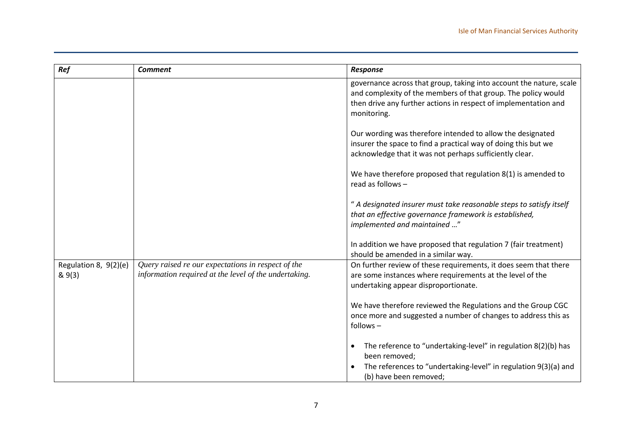| <b>Ref</b>                      | <b>Comment</b>                                                                                              | Response                                                                                                                                                                                                               |
|---------------------------------|-------------------------------------------------------------------------------------------------------------|------------------------------------------------------------------------------------------------------------------------------------------------------------------------------------------------------------------------|
|                                 |                                                                                                             | governance across that group, taking into account the nature, scale<br>and complexity of the members of that group. The policy would<br>then drive any further actions in respect of implementation and<br>monitoring. |
|                                 |                                                                                                             | Our wording was therefore intended to allow the designated<br>insurer the space to find a practical way of doing this but we<br>acknowledge that it was not perhaps sufficiently clear.                                |
|                                 |                                                                                                             | We have therefore proposed that regulation 8(1) is amended to<br>read as follows -                                                                                                                                     |
|                                 |                                                                                                             | " A designated insurer must take reasonable steps to satisfy itself<br>that an effective governance framework is established,<br>implemented and maintained "                                                          |
|                                 |                                                                                                             | In addition we have proposed that regulation 7 (fair treatment)<br>should be amended in a similar way.                                                                                                                 |
| Regulation 8, 9(2)(e)<br>& 9(3) | Query raised re our expectations in respect of the<br>information required at the level of the undertaking. | On further review of these requirements, it does seem that there<br>are some instances where requirements at the level of the<br>undertaking appear disproportionate.                                                  |
|                                 |                                                                                                             | We have therefore reviewed the Regulations and the Group CGC<br>once more and suggested a number of changes to address this as<br>$follows -$                                                                          |
|                                 |                                                                                                             | The reference to "undertaking-level" in regulation 8(2)(b) has<br>been removed;                                                                                                                                        |
|                                 |                                                                                                             | The references to "undertaking-level" in regulation 9(3)(a) and<br>(b) have been removed;                                                                                                                              |